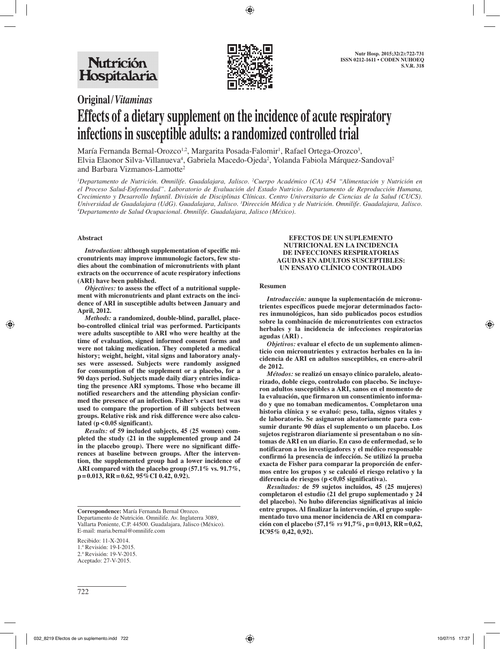

# **Original/***Vitaminas*

# **Effects of a dietary supplement on the incidence of acute respiratory infections in susceptible adults: a randomized controlled trial**

María Fernanda Bernal-Orozco<sup>1,2</sup>, Margarita Posada-Falomir<sup>1</sup>, Rafael Ortega-Orozco<sup>3</sup>, Elvia Elaonor Silva-Villanueva<sup>4</sup>, Gabriela Macedo-Ojeda<sup>2</sup>, Yolanda Fabiola Márquez-Sandoval<sup>2</sup> and Barbara Vizmanos-Lamotte2

*1 Departamento de Nutrición. Omnilife. Guadalajara, Jalisco. 2 Cuerpo Académico (CA) 454 "Alimentación y Nutrición en el Proceso Salud-Enfermedad". Laboratorio de Evaluación del Estado Nutricio. Departamento de Reproducción Humana, Crecimiento y Desarrollo Infantil. División de Disciplinas Clínicas. Centro Universitario de Ciencias de la Salud (CUCS).*  Universidad de Guadalajara (UdG). Guadalajara, Jalisco. <sup>3</sup>Dirección Médica y de Nutrición. Omnilife. Guadalajara, Jalisco.<br><sup>4</sup>Departamento de Salud Ocupacional Omnilife. Guadalajara, Jalisco (México). *Departamento de Salud Ocupacional. Omnilife. Guadalajara, Jalisco (México).*

# **Abstract**

*Introduction:* **although supplementation of specific micronutrients may improve immunologic factors, few studies about the combination of micronutrients with plant extracts on the occurrence of acute respiratory infections (ARI) have been published.**

*Objectives:* **to assess the effect of a nutritional supplement with micronutrients and plant extracts on the incidence of ARI in susceptible adults between January and April, 2012.**

*Methods:* **a randomized, double-blind, parallel, placebo-controlled clinical trial was performed. Participants were adults susceptible to ARI who were healthy at the time of evaluation, signed informed consent forms and were not taking medication. They completed a medical history; weight, height, vital signs and laboratory analyses were assessed. Subjects were randomly assigned for consumption of the supplement or a placebo, for a 90 days period. Subjects made daily diary entries indicating the presence ARI symptoms. Those who became ill notified researchers and the attending physician confirmed the presence of an infection. Fisher's exact test was used to compare the proportion of ill subjects between groups. Relative risk and risk difference were also calculated (p<0.05 significant).**

*Results:* **of 59 included subjects, 45 (25 women) completed the study (21 in the supplemented group and 24 in the placebo group). There were no significant differences at baseline between groups. After the intervention, the supplemented group had a lower incidence of ARI compared with the placebo group (57.1% vs. 91.7%, p=0.013, RR=0.62, 95%CI 0.42, 0.92).**

Recibido: 11-X-2014. 1.ª Revisión: 19-I-2015. 2.ª Revisión: 19-V-2015. Aceptado: 27-V-2015.

#### **EFECTOS DE UN SUPLEMENTO NUTRICIONAL EN LA INCIDENCIA DE INFECCIONES RESPIRATORIAS AGUDAS EN ADULTOS SUSCEPTIBLES: UN ENSAYO CLÍNICO CONTROLADO**

#### **Resumen**

*Introducción:* **aunque la suplementación de micronutrientes específicos puede mejorar determinados factores inmunológicos, han sido publicados pocos estudios sobre la combinación de micronutrientes con extractos herbales y la incidencia de infecciones respiratorias agudas (ARI) .**

*Objetivos:* **evaluar el efecto de un suplemento alimenticio con micronutrientes y extractos herbales en la incidencia de ARI en adultos susceptibles, en enero-abril de 2012.**

*Métodos:* **se realizó un ensayo clínico paralelo, aleatorizado, doble ciego, controlado con placebo. Se incluyeron adultos susceptibles a ARI, sanos en el momento de la evaluación, que firmaron un consentimiento informado y que no tomaban medicamentos. Completaron una historia clínica y se evaluó: peso, talla, signos vitales y de laboratorio. Se asignaron aleatoriamente para consumir durante 90 días el suplemento o un placebo. Los sujetos registraron diariamente si presentaban o no síntomas de ARI en un diario. En caso de enfermedad, se lo notificaron a los investigadores y el médico responsable confirmó la presencia de infección. Se utilizó la prueba exacta de Fisher para comparar la proporción de enfermos entre los grupos y se calculó el riesgo relativo y la diferencia de riesgos (p < 0,05 significativa).**

*Resultados:* **de 59 sujetos incluidos, 45 (25 mujeres) completaron el estudio (21 del grupo suplementado y 24 del placebo). No hubo diferencias significativas al inicio entre grupos. Al finalizar la intervención, el grupo suplementado tuvo una menor incidencia de ARI en comparación con el placebo (57,1%** *vs* **91,7%, p=0,013, RR=0,62, IC95% 0,42, 0,92).**

**Correspondence:** María Fernanda Bernal Orozco. Departamento de Nutrición. Omnilife. Av. Inglaterra 3089, Vallarta Poniente, C.P. 44500. Guadalajara, Jalisco (México). E-mail: maria.bernal@omnilife.com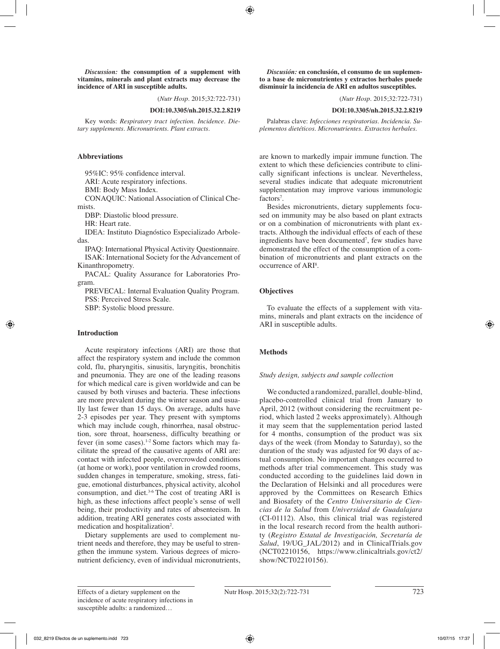*Discussion:* **the consumption of a supplement with vitamins, minerals and plant extracts may decrease the incidence of ARI in susceptible adults.**

(*Nutr Hosp.* 2015;32:722-731)

**DOI:10.3305/nh.2015.32.2.8219**

Key words: *Respiratory tract infection. Incidence. Dietary supplements. Micronutrients. Plant extracts.*

#### **Abbreviations**

95%IC: 95% confidence interval.

ARI: Acute respiratory infections.

BMI: Body Mass Index.

CONAQUIC: National Association of Clinical Chemists.

DBP: Diastolic blood pressure.

HR: Heart rate.

IDEA: Instituto Diagnóstico Especializado Arboledas.

IPAQ: International Physical Activity Questionnaire. ISAK: International Society for the Advancement of

Kinanthropometry.

PACAL: Quality Assurance for Laboratories Program.

PREVECAL: Internal Evaluation Quality Program. PSS: Perceived Stress Scale.

SBP: Systolic blood pressure.

# **Introduction**

Acute respiratory infections (ARI) are those that affect the respiratory system and include the common cold, flu, pharyngitis, sinusitis, laryngitis, bronchitis and pneumonia. They are one of the leading reasons for which medical care is given worldwide and can be caused by both viruses and bacteria. These infections are more prevalent during the winter season and usually last fewer than 15 days. On average, adults have 2-3 episodes per year. They present with symptoms which may include cough, rhinorrhea, nasal obstruction, sore throat, hoarseness, difficulty breathing or fever (in some cases).<sup>1-2</sup> Some factors which may facilitate the spread of the causative agents of ARI are: contact with infected people, overcrowded conditions (at home or work), poor ventilation in crowded rooms, sudden changes in temperature, smoking, stress, fatigue, emotional disturbances, physical activity, alcohol consumption, and diet. $3-6$  The cost of treating ARI is high, as these infections affect people's sense of well being, their productivity and rates of absenteeism. In addition, treating ARI generates costs associated with medication and hospitalization<sup>2</sup>.

Dietary supplements are used to complement nutrient needs and therefore, they may be useful to strengthen the immune system. Various degrees of micronutrient deficiency, even of individual micronutrients,

*Discusión:* **en conclusión, el consumo de un suplemento a base de micronutrientes y extractos herbales puede disminuir la incidencia de ARI en adultos susceptibles.**

(*Nutr Hosp.* 2015;32:722-731)

**DOI:10.3305/nh.2015.32.2.8219**

Palabras clave: *Infecciones respiratorias. Incidencia. Suplementos dietéticos. Micronutrientes. Extractos herbales.*

are known to markedly impair immune function. The extent to which these deficiencies contribute to clinically significant infections is unclear. Nevertheless, several studies indicate that adequate micronutrient supplementation may improve various immunologic factors<sup>7</sup>.

Besides micronutrients, dietary supplements focused on immunity may be also based on plant extracts or on a combination of micronutrients with plant extracts. Although the individual effects of each of these ingredients have been documented<sup>7</sup>, few studies have demonstrated the effect of the consumption of a combination of micronutrients and plant extracts on the occurrence of ARI<sup>8</sup>.

# **Objectives**

To evaluate the effects of a supplement with vitamins, minerals and plant extracts on the incidence of ARI in susceptible adults.

# **Methods**

# *Study design, subjects and sample collection*

We conducted a randomized, parallel, double-blind, placebo-controlled clinical trial from January to April, 2012 (without considering the recruitment period, which lasted 2 weeks approximately). Although it may seem that the supplementation period lasted for 4 months, consumption of the product was six days of the week (from Monday to Saturday), so the duration of the study was adjusted for 90 days of actual consumption. No important changes occurred to methods after trial commencement. This study was conducted according to the guidelines laid down in the Declaration of Helsinki and all procedures were approved by the Committees on Research Ethics and Biosafety of the *Centro Universitario de Ciencias de la Salud* from *Universidad de Guadalajara* (CI-01112). Also, this clinical trial was registered in the local research record from the health authority (*Registro Estatal de Investigación, Secretaría de Salud*, 19/UG\_JAL/2012) and in ClinicalTrials.gov (NCT02210156, https://www.clinicaltrials.gov/ct2/ show/NCT02210156).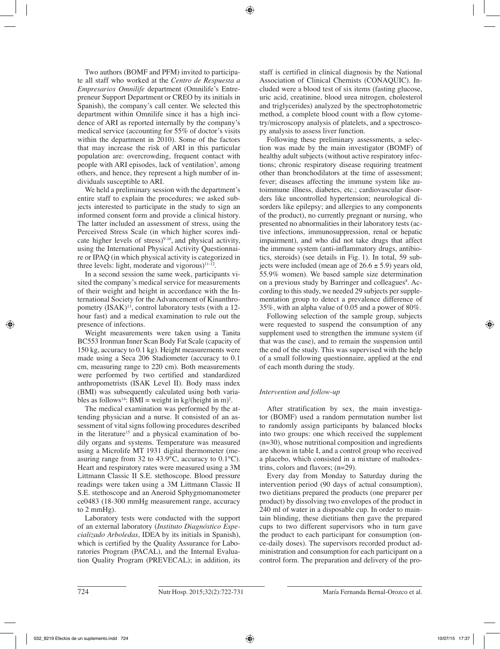Two authors (BOMF and PFM) invited to participate all staff who worked at the *Centro de Respuesta a Empresarios Omnilife* department (Omnilife's Entrepreneur Support Department or CREO by its initials in Spanish), the company's call center. We selected this department within Omnilife since it has a high incidence of ARI as reported internally by the company's medical service (accounting for 55% of doctor's visits within the department in 2010). Some of the factors that may increase the risk of ARI in this particular population are: overcrowding, frequent contact with people with ARI episodes, lack of ventilation<sup>3</sup>, among others, and hence, they represent a high number of individuals susceptible to ARI.

We held a preliminary session with the department's entire staff to explain the procedures; we asked subjects interested to participate in the study to sign an informed consent form and provide a clinical history. The latter included an assessment of stress, using the Perceived Stress Scale (in which higher scores indicate higher levels of stress) $9-10$ , and physical activity, using the International Physical Activity Questionnaire or IPAQ (in which physical activity is categorized in three levels: light, moderate and vigorous) $11-12$ .

In a second session the same week, participants visited the company's medical service for measurements of their weight and height in accordance with the International Society for the Advancement of Kinanthropometry  $(ISAK)^{13}$ , control laboratory tests (with a 12hour fast) and a medical examination to rule out the presence of infections.

Weight measurements were taken using a Tanita BC553 Ironman Inner Scan Body Fat Scale (capacity of 150 kg, accuracy to 0.1 kg). Height measurements were made using a Seca 206 Stadiometer (accuracy to 0.1 cm, measuring range to 220 cm). Both measurements were performed by two certified and standardized anthropometrists (ISAK Level II). Body mass index (BMI) was subsequently calculated using both variables as follows<sup>14</sup>: BMI = weight in kg/(height in m)<sup>2</sup>.

The medical examination was performed by the attending physician and a nurse. It consisted of an assessment of vital signs following procedures described in the literature<sup>15</sup> and a physical examination of bodily organs and systems. Temperature was measured using a Microlife MT 1931 digital thermometer (measuring range from 32 to 43.9°C, accuracy to 0.1°C). Heart and respiratory rates were measured using a 3M Littmann Classic II S.E. stethoscope. Blood pressure readings were taken using a 3M Littmann Classic II S.E. stethoscope and an Aneroid Sphygmomanometer ce0483 (18-300 mmHg measurement range, accuracy to 2 mmHg).

Laboratory tests were conducted with the support of an external laboratory (*Instituto Diagnóstico Especializado Arboledas*, IDEA by its initials in Spanish), which is certified by the Quality Assurance for Laboratories Program (PACAL), and the Internal Evaluation Quality Program (PREVECAL); in addition, its staff is certified in clinical diagnosis by the National Association of Clinical Chemists (CONAQUIC). Included were a blood test of six items (fasting glucose, uric acid, creatinine, blood urea nitrogen, cholesterol and triglycerides) analyzed by the spectrophotometric method, a complete blood count with a flow cytometry/microscopy analysis of platelets, and a spectroscopy analysis to assess liver function.

Following these preliminary assessments, a selection was made by the main investigator (BOMF) of healthy adult subjects (without active respiratory infections; chronic respiratory disease requiring treatment other than bronchodilators at the time of assessment; fever; diseases affecting the immune system like autoimmune illness, diabetes, etc.; cardiovascular disorders like uncontrolled hypertension; neurological disorders like epilepsy; and allergies to any components of the product), no currently pregnant or nursing, who presented no abnormalities in their laboratory tests (active infections, immunosuppression, renal or hepatic impairment), and who did not take drugs that affect the immune system (anti-inflammatory drugs, antibiotics, steroids) (see details in Fig. 1). In total, 59 subjects were included (mean age of  $26.6 \pm 5.9$ ) years old, 55.9% women). We based sample size determination on a previous study by Barringer and colleagues<sup>8</sup>. According to this study, we needed 29 subjects per supplementation group to detect a prevalence difference of 35%, with an alpha value of 0.05 and a power of 80%.

Following selection of the sample group, subjects were requested to suspend the consumption of any supplement used to strengthen the immune system (if that was the case), and to remain the suspension until the end of the study. This was supervised with the help of a small following questionnaire, applied at the end of each month during the study.

# *Intervention and follow-up*

After stratification by sex, the main investigator (BOMF) used a random permutation number list to randomly assign participants by balanced blocks into two groups: one which received the supplement (n=30), whose nutritional composition and ingredients are shown in table I, and a control group who received a placebo, which consisted in a mixture of maltodextrins, colors and flavors; (n=29).

Every day from Monday to Saturday during the intervention period (90 days of actual consumption), two dietitians prepared the products (one preparer per product) by dissolving two envelopes of the product in 240 ml of water in a disposable cup. In order to maintain blinding, these dietitians then gave the prepared cups to two different supervisors who in turn gave the product to each participant for consumption (once-daily doses). The supervisors recorded product administration and consumption for each participant on a control form. The preparation and delivery of the pro-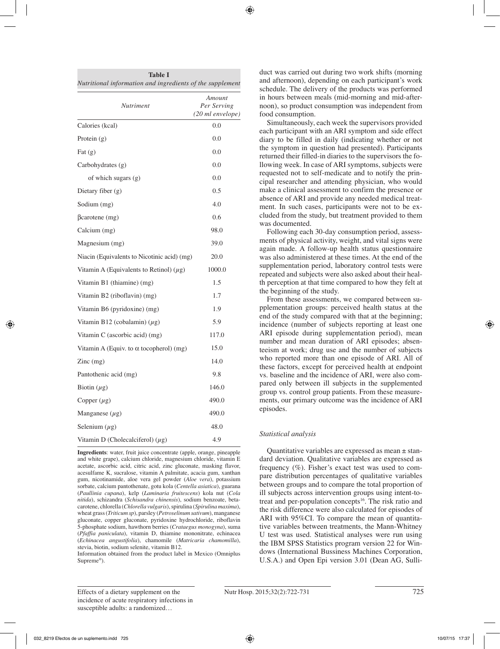| <b>Nutriment</b>                               | Amount<br>Per Serving<br>(20 ml envelope) |
|------------------------------------------------|-------------------------------------------|
| Calories (kcal)                                | 0.0                                       |
| Protein $(g)$                                  | 0.0                                       |
| Fat $(g)$                                      | 0.0                                       |
| Carbohydrates (g)                              | 0.0                                       |
| of which sugars (g)                            | 0.0                                       |
| Dietary fiber (g)                              | 0.5                                       |
| Sodium (mg)                                    | 4.0                                       |
| $\beta$ carotene $(mg)$                        | 0.6                                       |
| Calcium (mg)                                   | 98.0                                      |
| Magnesium (mg)                                 | 39.0                                      |
| Niacin (Equivalents to Nicotinic acid) (mg)    | 20.0                                      |
| Vitamin A (Equivalents to Retinol) $(\mu g)$   | 1000.0                                    |
| Vitamin B1 (thiamine) (mg)                     | 1.5                                       |
| Vitamin B2 (riboflavin) (mg)                   | 1.7                                       |
| Vitamin B6 (pyridoxine) (mg)                   | 1.9                                       |
| Vitamin B12 (cobalamin) $(\mu g)$              | 5.9                                       |
| Vitamin C (ascorbic acid) (mg)                 | 117.0                                     |
| Vitamin A (Equiv. to $\alpha$ tocopherol) (mg) | 15.0                                      |
| $Zinc$ (mg)                                    | 14.0                                      |
| Pantothenic acid (mg)                          | 9.8                                       |
| Biotin $(\mu g)$                               | 146.0                                     |
| Copper $(\mu g)$                               | 490.0                                     |
| Manganese $(\mu g)$                            | 490.0                                     |
| Selenium $(\mu g)$                             | 48.0                                      |
| Vitamin D (Cholecalciferol) $(\mu g)$          | 4.9                                       |

**Table I**

**Ingredients**: water, fruit juice concentrate (apple, orange, pineapple and white grape), calcium chloride, magnesium chloride, vitamin E acetate, ascorbic acid, citric acid, zinc gluconate, masking flavor, acesulfame K, sucralose, vitamin A palmitate, acacia gum, xanthan gum, nicotinamide, aloe vera gel powder (*Aloe vera*), potassium sorbate, calcium pantothenate, gotu kola (*Centella asiatica*), guarana (*Paullinia cupana*), kelp (*Laminaria fruitescens*) kola nut (*Cola nitida*), schizandra (*Schisandra chinensis*), sodium benzoate, betacarotene, chlorella (*Chlorella vulgaris*), spirulina (*Spirulina maxima*), wheat grass (*Triticum sp*), parsley (*Petroselinum sativum*), manganese gluconate, copper gluconate, pyridoxine hydrochloride, riboflavin 5-phosphate sodium, hawthorn berries (*Crataegus monogyna*), suma (*Pfaffia paniculata*), vitamin D, thiamine mononitrate, echinacea (*Echinacea angustifolia*), chamomile (*Matricaria chamomilla*), stevia, biotin, sodium selenite, vitamin B12.

Information obtained from the product label in Mexico (Omniplus Supreme<sup>®</sup>).

duct was carried out during two work shifts (morning and afternoon), depending on each participant's work schedule. The delivery of the products was performed in hours between meals (mid-morning and mid-afternoon), so product consumption was independent from food consumption.

Simultaneously, each week the supervisors provided each participant with an ARI symptom and side effect diary to be filled in daily (indicating whether or not the symptom in question had presented). Participants returned their filled-in diaries to the supervisors the following week. In case of ARI symptoms, subjects were requested not to self-medicate and to notify the principal researcher and attending physician, who would make a clinical assessment to confirm the presence or absence of ARI and provide any needed medical treatment. In such cases, participants were not to be excluded from the study, but treatment provided to them was documented.

Following each 30-day consumption period, assessments of physical activity, weight, and vital signs were again made. A follow-up health status questionnaire was also administered at these times. At the end of the supplementation period, laboratory control tests were repeated and subjects were also asked about their health perception at that time compared to how they felt at the beginning of the study.

From these assessments, we compared between supplementation groups: perceived health status at the end of the study compared with that at the beginning; incidence (number of subjects reporting at least one ARI episode during supplementation period), mean number and mean duration of ARI episodes; absenteeism at work; drug use and the number of subjects who reported more than one episode of ARI. All of these factors, except for perceived health at endpoint vs. baseline and the incidence of ARI, were also compared only between ill subjects in the supplemented group vs. control group patients. From these measurements, our primary outcome was the incidence of ARI episodes.

# *Statistical analysis*

Quantitative variables are expressed as mean  $\pm$  standard deviation. Qualitative variables are expressed as frequency (%). Fisher's exact test was used to compare distribution percentages of qualitative variables between groups and to compare the total proportion of ill subjects across intervention groups using intent-totreat and per-population concepts<sup>16</sup>. The risk ratio and the risk difference were also calculated for episodes of ARI with 95%CI. To compare the mean of quantitative variables between treatments, the Mann-Whitney U test was used. Statistical analyses were run using the IBM SPSS Statistics program version 22 for Windows (International Bussiness Machines Corporation, U.S.A.) and Open Epi version 3.01 (Dean AG, Sulli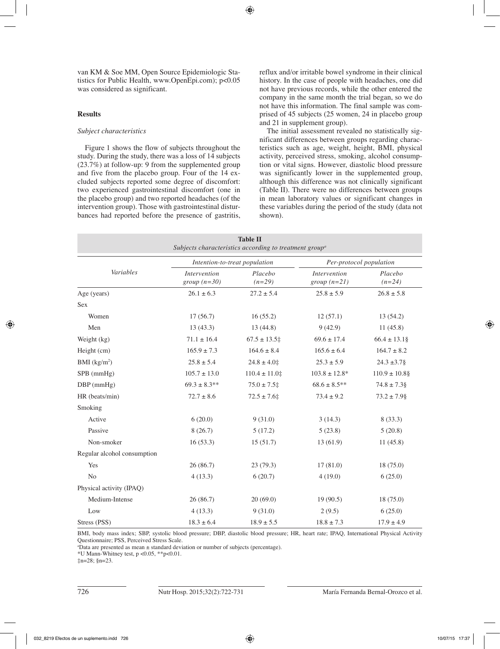van KM & Soe MM, Open Source Epidemiologic Statistics for Public Health, www.OpenEpi.com); p<0.05 was considered as significant.

#### **Results**

#### *Subject characteristics*

Figure 1 shows the flow of subjects throughout the study. During the study, there was a loss of 14 subjects (23.7%) at follow-up: 9 from the supplemented group and five from the placebo group. Four of the 14 excluded subjects reported some degree of discomfort: two experienced gastrointestinal discomfort (one in the placebo group) and two reported headaches (of the intervention group). Those with gastrointestinal disturbances had reported before the presence of gastritis, reflux and/or irritable bowel syndrome in their clinical history. In the case of people with headaches, one did not have previous records, while the other entered the company in the same month the trial began, so we do not have this information. The final sample was comprised of 45 subjects (25 women, 24 in placebo group and 21 in supplement group).

The initial assessment revealed no statistically significant differences between groups regarding characteristics such as age, weight, height, BMI, physical activity, perceived stress, smoking, alcohol consumption or vital signs. However, diastolic blood pressure was significantly lower in the supplemented group, although this difference was not clinically significant (Table II). There were no differences between groups in mean laboratory values or significant changes in these variables during the period of the study (data not shown).

| <b>Table II</b><br>Subjects characteristics according to treatment group <sup>a</sup> |                               |                               |                                |                     |  |
|---------------------------------------------------------------------------------------|-------------------------------|-------------------------------|--------------------------------|---------------------|--|
| Variables                                                                             |                               | Intention-to-treat population | Per-protocol population        |                     |  |
|                                                                                       | Intervention<br>$group(n=30)$ | Placebo<br>$(n=29)$           | Intervention<br>$group (n=21)$ | Placebo<br>$(n=24)$ |  |
| Age (years)                                                                           | $26.1 \pm 6.3$                | $27.2 \pm 5.4$                | $25.8 \pm 5.9$                 | $26.8 \pm 5.8$      |  |
| <b>Sex</b>                                                                            |                               |                               |                                |                     |  |
| Women                                                                                 | 17(56.7)                      | 16(55.2)                      | 12(57.1)                       | 13(54.2)            |  |
| Men                                                                                   | 13(43.3)                      | 13(44.8)                      | 9(42.9)                        | 11(45.8)            |  |
| Weight (kg)                                                                           | $71.1 \pm 16.4$               | $67.5 \pm 13.5$               | $69.6 \pm 17.4$                | $66.4 \pm 13.1$ §   |  |
| Height (cm)                                                                           | $165.9 \pm 7.3$               | $164.6 \pm 8.4$               | $165.6 \pm 6.4$                | $164.7 \pm 8.2$     |  |
| BMI (kg/m <sup>2</sup> )                                                              | $25.8 \pm 5.4$                | $24.8 \pm 4.0$                | $25.3 \pm 5.9$                 | $24.3 \pm 3.7\$     |  |
| SPB (mmHg)                                                                            | $105.7 \pm 13.0$              | $110.4 \pm 11.0$              | $103.8 \pm 12.8^*$             | $110.9 \pm 10.8$ §  |  |
| $DBP$ (mmHg)                                                                          | $69.3 \pm 8.3**$              | $75.0 \pm 7.5$                | $68.6 \pm 8.5**$               | $74.8 \pm 7.3$      |  |
| HR (beats/min)                                                                        | $72.7 \pm 8.6$                | $72.5 \pm 7.6$                | $73.4 \pm 9.2$                 | $73.2 \pm 7.9$ §    |  |
| Smoking                                                                               |                               |                               |                                |                     |  |
| Active                                                                                | 6(20.0)                       | 9(31.0)                       | 3(14.3)                        | 8(33.3)             |  |
| Passive                                                                               | 8(26.7)                       | 5(17.2)                       | 5(23.8)                        | 5(20.8)             |  |
| Non-smoker                                                                            | 16(53.3)                      | 15(51.7)                      | 13(61.9)                       | 11(45.8)            |  |
| Regular alcohol consumption                                                           |                               |                               |                                |                     |  |
| Yes                                                                                   | 26(86.7)                      | 23(79.3)                      | 17(81.0)                       | 18(75.0)            |  |
| N <sub>0</sub>                                                                        | 4(13.3)                       | 6(20.7)                       | 4(19.0)                        | 6(25.0)             |  |
| Physical activity (IPAQ)                                                              |                               |                               |                                |                     |  |
| Medium-Intense                                                                        | 26(86.7)                      | 20(69.0)                      | 19(90.5)                       | 18(75.0)            |  |
| Low                                                                                   | 4(13.3)                       | 9(31.0)                       | 2(9.5)                         | 6(25.0)             |  |
| Stress (PSS)                                                                          | $18.3 \pm 6.4$                | $18.9 \pm 5.5$                | $18.8 \pm 7.3$                 | $17.9 \pm 4.9$      |  |

BMI, body mass index; SBP, systolic blood pressure; DBP, diastolic blood pressure; HR, heart rate; IPAQ, International Physical Activity Questionnaire; PSS, Perceived Stress Scale.

a Data are presented as mean ± standard deviation or number of subjects (percentage).

\*U Mann-Whitney test,  $p < 0.05$ , \*\*p $< 0.01$ .

‡n=28; §n=23.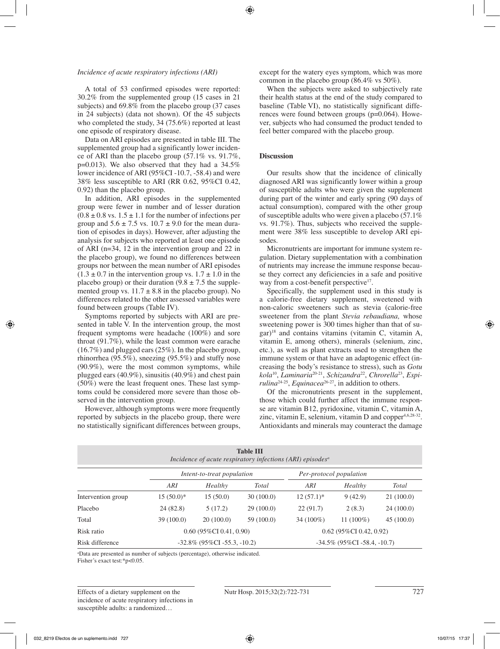#### *Incidence of acute respiratory infections (ARI)*

A total of 53 confirmed episodes were reported: 30.2% from the supplemented group (15 cases in 21 subjects) and 69.8% from the placebo group (37 cases in 24 subjects) (data not shown). Of the 45 subjects who completed the study, 34 (75.6%) reported at least one episode of respiratory disease.

Data on ARI episodes are presented in table III. The supplemented group had a significantly lower incidence of ARI than the placebo group (57.1% vs. 91.7%, p=0.013). We also observed that they had a 34.5% lower incidence of ARI (95%CI -10.7, -58.4) and were 38% less susceptible to ARI (RR 0.62, 95%CI 0.42, 0.92) than the placebo group.

In addition, ARI episodes in the supplemented group were fewer in number and of lesser duration  $(0.8 \pm 0.8 \text{ vs. } 1.5 \pm 1.1 \text{ for the number of infections per})$ group and  $5.6 \pm 7.5$  vs.  $10.7 \pm 9.0$  for the mean duration of episodes in days). However, after adjusting the analysis for subjects who reported at least one episode of ARI (n=34, 12 in the intervention group and 22 in the placebo group), we found no differences between groups nor between the mean number of ARI episodes  $(1.3 \pm 0.7)$  in the intervention group vs.  $1.7 \pm 1.0$  in the placebo group) or their duration  $(9.8 \pm 7.5)$  the supplemented group vs.  $11.7 \pm 8.8$  in the placebo group). No differences related to the other assessed variables were found between groups (Table IV).

Symptoms reported by subjects with ARI are presented in table V. In the intervention group, the most frequent symptoms were headache (100%) and sore throat (91.7%), while the least common were earache (16.7%) and plugged ears (25%). In the placebo group, rhinorrhea (95.5%), sneezing (95.5%) and stuffy nose (90.9%), were the most common symptoms, while plugged ears (40.9%), sinusitis (40.9%) and chest pain (50%) were the least frequent ones. These last symptoms could be considered more severe than those observed in the intervention group.

However, although symptoms were more frequently reported by subjects in the placebo group, there were no statistically significant differences between groups, except for the watery eyes symptom, which was more common in the placebo group (86.4% vs 50%).

When the subjects were asked to subjectively rate their health status at the end of the study compared to baseline (Table VI), no statistically significant differences were found between groups (p=0.064). However, subjects who had consumed the product tended to feel better compared with the placebo group.

#### **Discussion**

Our results show that the incidence of clinically diagnosed ARI was significantly lower within a group of susceptible adults who were given the supplement during part of the winter and early spring (90 days of actual consumption), compared with the other group of susceptible adults who were given a placebo (57.1% vs. 91.7%). Thus, subjects who received the supplement were 38% less susceptible to develop ARI episodes.

Micronutrients are important for immune system regulation. Dietary supplementation with a combination of nutrients may increase the immune response because they correct any deficiencies in a safe and positive way from a cost-benefit perspective<sup>17</sup>.

Specifically, the supplement used in this study is a calorie-free dietary supplement, sweetened with non-caloric sweeteners such as stevia (calorie-free sweetener from the plant *Stevia rebaudiana,* whose sweetening power is 300 times higher than that of su- $\gamma$ <sup>18</sup> and contains vitamins (vitamin C, vitamin A, vitamin E, among others), minerals (selenium, zinc, etc.), as well as plant extracts used to strengthen the immune system or that have an adaptogenic effect (increasing the body's resistance to stress), such as *Gotu kola*10, *Laminaria*20-21, *Schizandra*22, *Chrorella*23, *Espirulina*24-25, *Equinacea*26-27, in addition to others.

Of the micronutrients present in the supplement, those which could further affect the immune response are vitamin B12, pyridoxine, vitamin C, vitamin A, zinc, vitamin E, selenium, vitamin D and copper $4,6,28-32$ . Antioxidants and minerals may counteract the damage

| <b>Table III</b><br>Incidence of acute respiratory infections (ARI) episodes <sup>a</sup> |                                                       |                                |            |                                |              |           |
|-------------------------------------------------------------------------------------------|-------------------------------------------------------|--------------------------------|------------|--------------------------------|--------------|-----------|
|                                                                                           | Per-protocol population<br>Intent-to-treat population |                                |            |                                |              |           |
|                                                                                           | ARI                                                   | Healthy                        | Total      | ARI                            | Healthy      | Total     |
| Intervention group                                                                        | $15(50.0)^*$                                          | 15(50.0)                       | 30(100.0)  | $12(57.1)^*$                   | 9(42.9)      | 21(100.0) |
| Placebo                                                                                   | 24(82.8)                                              | 5(17.2)                        | 29(100.0)  | 22(91.7)                       | 2(8.3)       | 24(100.0) |
| Total                                                                                     | 39(100.0)                                             | 20(100.0)                      | 59 (100.0) | $34(100\%)$                    | 11 $(100\%)$ | 45(100.0) |
| Risk ratio                                                                                |                                                       | $0.60$ (95%CI 0.41, 0.90)      |            | $0.62$ (95%CI 0.42, 0.92)      |              |           |
| Risk difference                                                                           |                                                       | $-32.8\%$ (95%CI -55.3, -10.2) |            | $-34.5\%$ (95%CI -58.4, -10.7) |              |           |

a Data are presented as number of subjects (percentage), otherwise indicated. Fisher's exact test:\*p<0.05.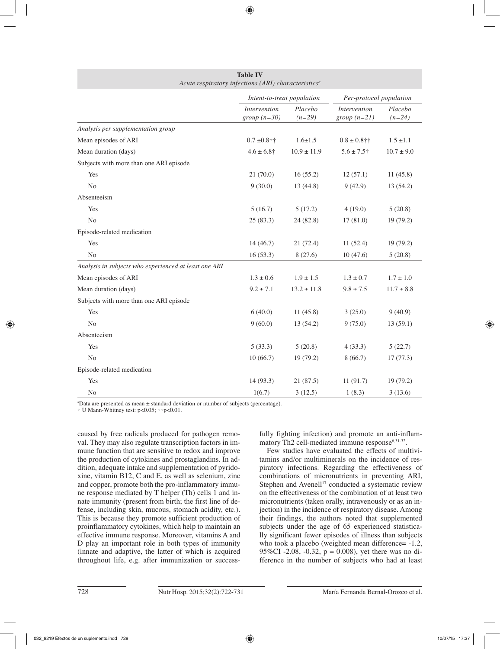|                                                       | Intent-to-treat population            |                     | Per-protocol population              |                     |
|-------------------------------------------------------|---------------------------------------|---------------------|--------------------------------------|---------------------|
|                                                       | <i>Intervention</i><br>group $(n=30)$ | Placebo<br>$(n=29)$ | <i>Intervention</i><br>$group(n=21)$ | Placebo<br>$(n=24)$ |
| Analysis per supplementation group                    |                                       |                     |                                      |                     |
| Mean episodes of ARI                                  | $0.7 \pm 0.8$ ††                      | $1.6 \pm 1.5$       | $0.8 \pm 0.8$ ††                     | $1.5 \pm 1.1$       |
| Mean duration (days)                                  | $4.6 \pm 6.8$ †                       | $10.9 \pm 11.9$     | $5.6 \pm 7.5$ †                      | $10.7 \pm 9.0$      |
| Subjects with more than one ARI episode               |                                       |                     |                                      |                     |
| Yes                                                   | 21(70.0)                              | 16(55.2)            | 12(57.1)                             | 11(45.8)            |
| No                                                    | 9(30.0)                               | 13(44.8)            | 9(42.9)                              | 13(54.2)            |
| Absenteeism                                           |                                       |                     |                                      |                     |
| Yes                                                   | 5(16.7)                               | 5(17.2)             | 4(19.0)                              | 5(20.8)             |
| N <sub>0</sub>                                        | 25(83.3)                              | 24(82.8)            | 17(81.0)                             | 19(79.2)            |
| Episode-related medication                            |                                       |                     |                                      |                     |
| Yes                                                   | 14(46.7)                              | 21(72.4)            | 11(52.4)                             | 19(79.2)            |
| N <sub>o</sub>                                        | 16(53.3)                              | 8(27.6)             | 10(47.6)                             | 5(20.8)             |
| Analysis in subjects who experienced at least one ARI |                                       |                     |                                      |                     |
| Mean episodes of ARI                                  | $1.3\pm0.6$                           | $1.9 \pm 1.5$       | $1.3 \pm 0.7$                        | $1.7 \pm 1.0$       |
| Mean duration (days)                                  | $9.2 \pm 7.1$                         | $13.2 \pm 11.8$     | $9.8 \pm 7.5$                        | $11.7 \pm 8.8$      |
| Subjects with more than one ARI episode               |                                       |                     |                                      |                     |
| Yes                                                   | 6(40.0)                               | 11(45.8)            | 3(25.0)                              | 9(40.9)             |
| N <sub>0</sub>                                        | 9(60.0)                               | 13(54.2)            | 9(75.0)                              | 13(59.1)            |
| Absenteeism                                           |                                       |                     |                                      |                     |
| Yes                                                   | 5(33.3)                               | 5(20.8)             | 4(33.3)                              | 5(22.7)             |
| N <sub>0</sub>                                        | 10(66.7)                              | 19(79.2)            | 8(66.7)                              | 17(77.3)            |
| Episode-related medication                            |                                       |                     |                                      |                     |
| Yes                                                   | 14(93.3)                              | 21(87.5)            | 11(91.7)                             | 19(79.2)            |
| N <sub>0</sub>                                        | 1(6.7)                                | 3(12.5)             | 1(8.3)                               | 3(13.6)             |

**Table IV** *Acute respiratory infections (ARI) characteristicsa*

a Data are presented as mean ± standard deviation or number of subjects (percentage).

† U Mann-Whitney test: p<0.05; ††p<0.01.

caused by free radicals produced for pathogen removal. They may also regulate transcription factors in immune function that are sensitive to redox and improve the production of cytokines and prostaglandins. In addition, adequate intake and supplementation of pyridoxine, vitamin B12, C and E, as well as selenium, zinc and copper, promote both the pro-inflammatory immune response mediated by T helper (Th) cells 1 and innate immunity (present from birth; the first line of defense, including skin, mucous, stomach acidity, etc.). This is because they promote sufficient production of proinflammatory cytokines, which help to maintain an effective immune response. Moreover, vitamins A and D play an important role in both types of immunity (innate and adaptive, the latter of which is acquired throughout life, e.g. after immunization or successfully fighting infection) and promote an anti-inflammatory Th2 cell-mediated immune response<sup>6,31-32</sup>.

Few studies have evaluated the effects of multivitamins and/or multiminerals on the incidence of respiratory infections. Regarding the effectiveness of combinations of micronutrients in preventing ARI, Stephen and Avenell $17$  conducted a systematic review on the effectiveness of the combination of at least two micronutrients (taken orally, intravenously or as an injection) in the incidence of respiratory disease. Among their findings, the authors noted that supplemented subjects under the age of 65 experienced statistically significant fewer episodes of illness than subjects who took a placebo (weighted mean difference=  $-1.2$ , 95%CI -2.08, -0.32,  $p = 0.008$ ), yet there was no difference in the number of subjects who had at least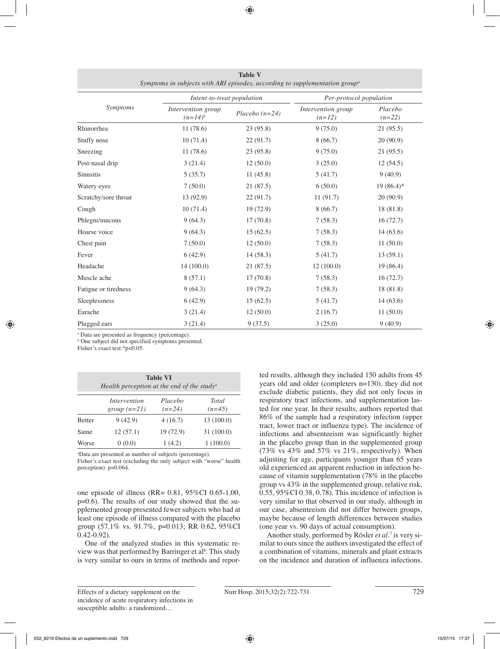|                      | Intent-to-treat population         |                  | Per-protocol population        |                     |  |
|----------------------|------------------------------------|------------------|--------------------------------|---------------------|--|
| Symptoms             | Intervention group<br>$(n=14)^{b}$ | Placebo $(n=24)$ | Intervention group<br>$(n=12)$ | Placebo<br>$(n=22)$ |  |
| Rhinorrhea           | 11(78.6)                           | 23(95.8)         | 9(75.0)                        | 21(95.5)            |  |
| Stuffy nose          | 10(71.4)                           | 22(91.7)         | 8(66.7)                        | 20(90.9)            |  |
| Sneezing             | 11(78.6)                           | 23(95.8)         | 9(75.0)                        | 21(95.5)            |  |
| Post-nasal drip      | 3(21.4)                            | 12(50.0)         | 3(25.0)                        | 12(54.5)            |  |
| <b>Sinusitis</b>     | 5(35.7)                            | 11(45.8)         | 5(41.7)                        | 9(40.9)             |  |
| Watery eyes          | 7(50.0)                            | 21(87.5)         | 6(50.0)                        | $19(86.4)$ *        |  |
| Scratchy/sore throat | 13 (92.9)                          | 22(91.7)         | 11(91.7)                       | 20(90.9)            |  |
| Cough                | 10(71.4)                           | 19(72.9)         | 8(66.7)                        | 18 (81.8)           |  |
| Phlegm/mucous        | 9(64.3)                            | 17(70.8)         | 7(58.3)                        | 16(72.7)            |  |
| Hoarse voice         | 9(64.3)                            | 15(62.5)         | 7(58.3)                        | 14(63.6)            |  |
| Chest pain           | 7(50.0)                            | 12(50.0)         | 7(58.3)                        | 11(50.0)            |  |
| Fever                | 6(42.9)                            | 14(58.3)         | 5(41.7)                        | 13(59.1)            |  |
| Headache             | 14 (100.0)                         | 21(87.5)         | 12(100.0)                      | 19(86.4)            |  |
| Muscle ache          | 8(57.1)                            | 17(70.8)         | 7(58.3)                        | 16(72.7)            |  |
| Fatigue or tiredness | 9(64.3)                            | 19(79.2)         | 7(58.3)                        | 18 (81.8)           |  |
| Sleeplessness        | 6(42.9)                            | 15(62.5)         | 5(41.7)                        | 14(63.6)            |  |
| Earache              | 3(21.4)                            | 12(50.0)         | 2(16.7)                        | 11(50.0)            |  |
| Plugged ears         | 3(21.4)                            | 9(37.5)          | 3(25.0)                        | 9(40.9)             |  |

**Table V** *Symptoms in subjects with ARI episodes, according to supplementation groupa*

a Data are presented as frequency (percentage).

b One subject did not specified symptoms presented.

Fisher's exact test:\*p<0.05.

| <b>Table VI</b><br>Health perception at the end of the study <sup>a</sup> |                                |                     |                   |
|---------------------------------------------------------------------------|--------------------------------|---------------------|-------------------|
|                                                                           | Intervention<br>group $(n=21)$ | Placebo<br>$(n=24)$ | Total<br>$(n=45)$ |
| <b>Better</b>                                                             | 9(42.9)                        | 4(16.7)             | 13(100.0)         |
| Same                                                                      | 12(57.1)                       | 19(72.9)            | 31(100.0)         |
| Worse                                                                     | 0(0.0)                         | 1(4.2)              | 1(100.0)          |

a Data are presented as number of subjects (percentage).

Fisher's exact test (excluding the only subject with "worse" health perception): p=0.064.

one episode of illness (RR= 0.81, 95%CI 0.65-1.00, p=0.6). The results of our study showed that the supplemented group presented fewer subjects who had at least one episode of illness compared with the placebo group (57.1% vs. 91.7%, p=0.013; RR 0.62, 95%CI 0.42-0.92).

One of the analyzed studies in this systematic review was that performed by Barringer et al<sup>8</sup>. This study is very similar to ours in terms of methods and reported results, although they included 150 adults from 45 years old and older (completers n=130), they did not exclude diabetic patients, they did not only focus in respiratory tract infections, and supplementation lasted for one year. In their results, authors reported that 86% of the sample had a respiratory infection (upper tract, lower tract or influenza type). The incidence of infections and absenteeism was significantly higher in the placebo group than in the supplemented group  $(73\% \text{ vs } 43\% \text{ and } 57\% \text{ vs } 21\% \text{, respectively})$ . When adjusting for age, participants younger than 65 years old experienced an apparent reduction in infection because of vitamin supplementation (78% in the placebo group vs 43% in the supplemented group, relative risk, 0.55, 95%CI 0.38, 0.78). This incidence of infection is very similar to that observed in our study, although in our case, absenteeism did not differ between groups, maybe because of length differences between studies (one year vs. 90 days of actual consumption).

Another study, performed by Rösler *et al.*<sup>7</sup> is very similar to ours since the authors investigated the effect of a combination of vitamins, minerals and plant extracts on the incidence and duration of influenza infections.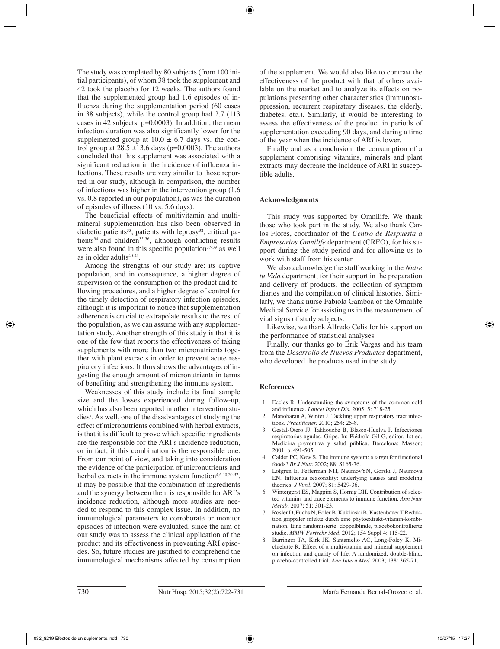The study was completed by 80 subjects (from 100 initial participants), of whom 38 took the supplement and 42 took the placebo for 12 weeks. The authors found that the supplemented group had 1.6 episodes of influenza during the supplementation period (60 cases in 38 subjects), while the control group had 2.7 (113 cases in 42 subjects,  $p=0.0003$ ). In addition, the mean infection duration was also significantly lower for the supplemented group at  $10.0 \pm 6.7$  days vs. the control group at  $28.5 \pm 13.6$  days (p=0.0003). The authors concluded that this supplement was associated with a significant reduction in the incidence of influenza infections. These results are very similar to those reported in our study, although in comparison, the number of infections was higher in the intervention group (1.6 vs. 0.8 reported in our population), as was the duration of episodes of illness (10 vs. 5.6 days).

The beneficial effects of multivitamin and multimineral supplementation has also been observed in diabetic patients<sup>33</sup>, patients with leprosy<sup>32</sup>, critical patients $34$  and children $35-36$ , although conflicting results were also found in this specific population $37-39$  as well as in older adults<sup>40-41</sup>.

Among the strengths of our study are: its captive population, and in consequence, a higher degree of supervision of the consumption of the product and following procedures, and a higher degree of control for the timely detection of respiratory infection episodes, although it is important to notice that supplementation adherence is crucial to extrapolate results to the rest of the population, as we can assume with any supplementation study. Another strength of this study is that it is one of the few that reports the effectiveness of taking supplements with more than two micronutrients together with plant extracts in order to prevent acute respiratory infections. It thus shows the advantages of ingesting the enough amount of micronutrients in terms of benefiting and strengthening the immune system.

Weaknesses of this study include its final sample size and the losses experienced during follow-up, which has also been reported in other intervention studies7 . As well, one of the disadvantages of studying the effect of micronutrients combined with herbal extracts, is that it is difficult to prove which specific ingredients are the responsible for the ARI's incidence reduction, or in fact, if this combination is the responsible one. From our point of view, and taking into consideration the evidence of the participation of micronutrients and herbal extracts in the immune system function<sup>4,6,10,20-32</sup>, it may be possible that the combination of ingredients and the synergy between them is responsible for ARI's incidence reduction, although more studies are needed to respond to this complex issue. In addition, no immunological parameters to corroborate or monitor episodes of infection were evaluated, since the aim of our study was to assess the clinical application of the product and its effectiveness in preventing ARI episodes. So, future studies are justified to comprehend the immunological mechanisms affected by consumption

of the supplement. We would also like to contrast the effectiveness of the product with that of others available on the market and to analyze its effects on populations presenting other characteristics (immunosuppression, recurrent respiratory diseases, the elderly, diabetes, etc.). Similarly, it would be interesting to assess the effectiveness of the product in periods of supplementation exceeding 90 days, and during a time of the year when the incidence of ARI is lower.

Finally and as a conclusion, the consumption of a supplement comprising vitamins, minerals and plant extracts may decrease the incidence of ARI in susceptible adults.

# **Acknowledgments**

This study was supported by Omnilife. We thank those who took part in the study. We also thank Carlos Flores, coordinator of the *Centro de Respuesta a Empresarios Omnilife* department (CREO), for his support during the study period and for allowing us to work with staff from his center.

We also acknowledge the staff working in the *Nutre tu Vida* department, for their support in the preparation and delivery of products, the collection of symptom diaries and the compilation of clinical histories. Similarly, we thank nurse Fabiola Gamboa of the Omnilife Medical Service for assisting us in the measurement of vital signs of study subjects.

Likewise, we thank Alfredo Celis for his support on the performance of statistical analyses.

Finally, our thanks go to Érik Vargas and his team from the *Desarrollo de Nuevos Productos* department, who developed the products used in the study.

# **References**

- 1. Eccles R. Understanding the symptoms of the common cold and influenza. *Lancet Infect Dis.* 2005; 5: 718-25.
- 2. Manoharan A, Winter J. Tackling upper respiratory tract infections. *Practitioner.* 2010; 254: 25-8.
- 3. Gestal-Otero JJ, Takkouche B, Blasco-Huelva P. Infecciones respiratorias agudas. Gripe. In: Piédrola-Gil G, editor. 1st ed. Medicina preventiva y salud pública. Barcelona: Masson; 2001. p. 491-505.
- 4. Calder PC, Kew S. The immune system: a target for functional foods? *Br J Nutr.* 2002; 88: S165-76.
- 5. Lofgren E, Fefferman NH, NaumovYN, Gorski J, Naumova EN. Influenza seasonality: underlying causes and modeling theories. *J Virol.* 2007; 81: 5429-36.
- 6. Wintergerst ES, Maggini S, Hornig DH. Contribution of selected vitamins and trace elements to immune function. *Ann Nutr Metab.* 2007; 51: 301-23.
- 7. Rösler D, Fuchs N, Edler B, Kuklinski B, Kästenbauer T Reduktion grippaler infekte durch eine phytoextrakt-vitamin-kombination. Eine randomisierte, doppelblinde, placebokontrollierte studie. *MMW Fortschr Med.* 2012; 154 Suppl 4: 115-22.
- 8. Barringer TA, Kirk JK, Santaniello AC, Long-Foley K, Michielutte R. Effect of a multivitamin and mineral supplement on infection and quality of life. A randomized, double-blind, placebo-controlled trial. *Ann Intern Med.* 2003; 138: 365-71.